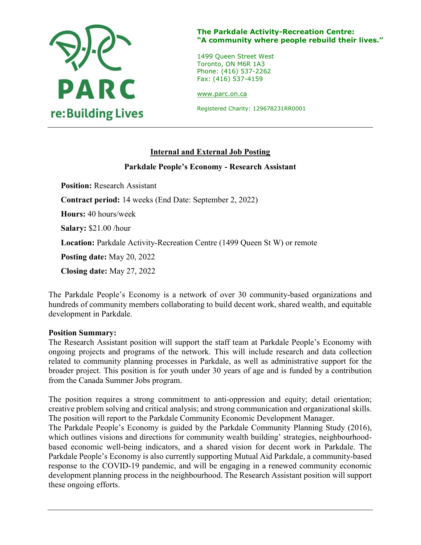

### The Parkdale Activity-Recreation Centre: "A community where people rebuild their lives."

1499 Queen Street West Toronto, ON M6R 1A3 Phone: (416) 537-2262 Fax: (416) 537-4159

www.parc.on.ca

Registered Charity: 129678231RR0001

# Internal and External Job Posting

### Parkdale People's Economy - Research Assistant

Position: Research Assistant Contract period: 14 weeks (End Date: September 2, 2022) Hours: 40 hours/week Salary: \$21.00 /hour Location: Parkdale Activity-Recreation Centre (1499 Queen St W) or remote Posting date: May 20, 2022 Closing date: May 27, 2022

The Parkdale People's Economy is a network of over 30 community-based organizations and hundreds of community members collaborating to build decent work, shared wealth, and equitable development in Parkdale.

#### Position Summary:

The Research Assistant position will support the staff team at Parkdale People's Economy with ongoing projects and programs of the network. This will include research and data collection related to community planning processes in Parkdale, as well as administrative support for the broader project. This position is for youth under 30 years of age and is funded by a contribution from the Canada Summer Jobs program.

The position requires a strong commitment to anti-oppression and equity; detail orientation; creative problem solving and critical analysis; and strong communication and organizational skills. The position will report to the Parkdale Community Economic Development Manager.

The Parkdale People's Economy is guided by the Parkdale Community Planning Study (2016), which outlines visions and directions for community wealth building' strategies, neighbourhoodbased economic well-being indicators, and a shared vision for decent work in Parkdale. The Parkdale People's Economy is also currently supporting Mutual Aid Parkdale, a community-based response to the COVID-19 pandemic, and will be engaging in a renewed community economic development planning process in the neighbourhood. The Research Assistant position will support these ongoing efforts.